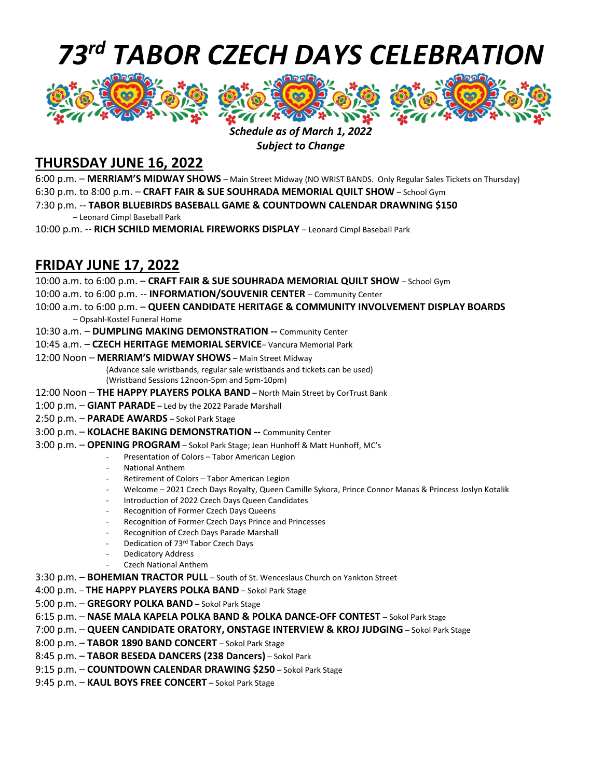# *73 rd TABOR CZECH DAYS CELEBRATION*



#### *Schedule as of March 1, 2022 Subject to Change*

### **THURSDAY JUNE 16, 2022**

6:00 p.m. – **MERRIAM'S MIDWAY SHOWS** – Main Street Midway (NO WRIST BANDS. Only Regular Sales Tickets on Thursday) 6:30 p.m. to 8:00 p.m. – **CRAFT FAIR & SUE SOUHRADA MEMORIAL QUILT SHOW** – School Gym 7:30 p.m. -- **TABOR BLUEBIRDS BASEBALL GAME & COUNTDOWN CALENDAR DRAWNING \$150** – Leonard Cimpl Baseball Park

10:00 p.m. -- **RICH SCHILD MEMORIAL FIREWORKS DISPLAY** – Leonard Cimpl Baseball Park

### **FRIDAY JUNE 17, 2022**

- 10:00 a.m. to 6:00 p.m. **CRAFT FAIR & SUE SOUHRADA MEMORIAL QUILT SHOW** School Gym
- 10:00 a.m. to 6:00 p.m. -- **INFORMATION/SOUVENIR CENTER** Community Center
- 10:00 a.m. to 6:00 p.m. **QUEEN CANDIDATE HERITAGE & COMMUNITY INVOLVEMENT DISPLAY BOARDS** – Opsahl-Kostel Funeral Home
- 10:30 a.m. **DUMPLING MAKING DEMONSTRATION --** Community Center
- 10:45 a.m. **CZECH HERITAGE MEMORIAL SERVICE** Vancura Memorial Park
- 12:00 Noon **MERRIAM'S MIDWAY SHOWS** Main Street Midway

(Advance sale wristbands, regular sale wristbands and tickets can be used) (Wristband Sessions 12noon-5pm and 5pm-10pm)

- 12:00 Noon **THE HAPPY PLAYERS POLKA BAND** North Main Street by CorTrust Bank
- 1:00 p.m. **GIANT PARADE** Led by the 2022 Parade Marshall
- 2:50 p.m. **PARADE AWARDS** Sokol Park Stage
- 3:00 p.m. **KOLACHE BAKING DEMONSTRATION --** Community Center
- 3:00 p.m. **OPENING PROGRAM** Sokol Park Stage; Jean Hunhoff & Matt Hunhoff, MC's
	- Presentation of Colors Tabor American Legion
	- National Anthem
	- Retirement of Colors Tabor American Legion
	- Welcome 2021 Czech Days Royalty, Queen Camille Sykora, Prince Connor Manas & Princess Joslyn Kotalik
	- Introduction of 2022 Czech Days Queen Candidates
	- Recognition of Former Czech Days Queens
	- Recognition of Former Czech Days Prince and Princesses
	- Recognition of Czech Days Parade Marshall
	- Dedication of 73rd Tabor Czech Days
	- Dedicatory Address
	- Czech National Anthem

3:30 p.m. – **BOHEMIAN TRACTOR PULL** – South of St. Wenceslaus Church on Yankton Street

- 4:00 p.m. **THE HAPPY PLAYERS POLKA BAND** Sokol Park Stage
- 5:00 p.m. **GREGORY POLKA BAND** Sokol Park Stage
- 6:15 p.m. **NASE MALA KAPELA POLKA BAND & POLKA DANCE-OFF CONTEST** Sokol Park Stage
- 7:00 p.m. **QUEEN CANDIDATE ORATORY, ONSTAGE INTERVIEW & KROJ JUDGING** Sokol Park Stage
- 8:00 p.m. **TABOR 1890 BAND CONCERT** Sokol Park Stage
- 8:45 p.m. **TABOR BESEDA DANCERS (238 Dancers)** Sokol Park
- 9:15 p.m. **COUNTDOWN CALENDAR DRAWING \$250** Sokol Park Stage
- 9:45 p.m. **KAUL BOYS FREE CONCERT** Sokol Park Stage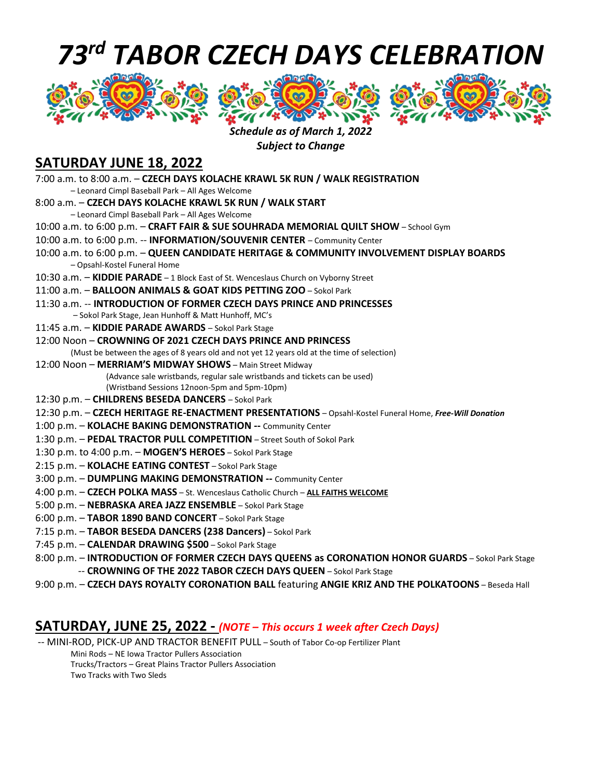# *73 rd TABOR CZECH DAYS CELEBRATION*







#### *Schedule as of March 1, 2022 Subject to Change*

### **SATURDAY JUNE 18, 2022**

| 7:00 a.m. to 8:00 a.m. - CZECH DAYS KOLACHE KRAWL 5K RUN / WALK REGISTRATION                                              |
|---------------------------------------------------------------------------------------------------------------------------|
| - Leonard Cimpl Baseball Park - All Ages Welcome                                                                          |
| 8:00 a.m. - CZECH DAYS KOLACHE KRAWL 5K RUN / WALK START                                                                  |
| - Leonard Cimpl Baseball Park - All Ages Welcome                                                                          |
| 10:00 a.m. to 6:00 p.m. - CRAFT FAIR & SUE SOUHRADA MEMORIAL QUILT SHOW - School Gym                                      |
| 10:00 a.m. to 6:00 p.m. -- INFORMATION/SOUVENIR CENTER - Community Center                                                 |
| 10:00 a.m. to 6:00 p.m. - QUEEN CANDIDATE HERITAGE & COMMUNITY INVOLVEMENT DISPLAY BOARDS<br>- Opsahl-Kostel Funeral Home |
| 10:30 a.m. - KIDDIE PARADE - 1 Block East of St. Wenceslaus Church on Vyborny Street                                      |
| 11:00 a.m. - BALLOON ANIMALS & GOAT KIDS PETTING ZOO - Sokol Park                                                         |
| 11:30 a.m. -- INTRODUCTION OF FORMER CZECH DAYS PRINCE AND PRINCESSES                                                     |
| - Sokol Park Stage, Jean Hunhoff & Matt Hunhoff, MC's                                                                     |
| 11:45 a.m. - KIDDIE PARADE AWARDS - Sokol Park Stage                                                                      |
| 12:00 Noon - CROWNING OF 2021 CZECH DAYS PRINCE AND PRINCESS                                                              |
| (Must be between the ages of 8 years old and not yet 12 years old at the time of selection)                               |
| 12:00 Noon - MERRIAM'S MIDWAY SHOWS - Main Street Midway                                                                  |
| (Advance sale wristbands, regular sale wristbands and tickets can be used)                                                |
| (Wristband Sessions 12noon-5pm and 5pm-10pm)                                                                              |
| 12:30 p.m. - CHILDRENS BESEDA DANCERS - Sokol Park                                                                        |
| 12:30 p.m. - CZECH HERITAGE RE-ENACTMENT PRESENTATIONS - Opsahl-Kostel Funeral Home, Free-Will Donation                   |
| 1:00 p.m. - KOLACHE BAKING DEMONSTRATION -- Community Center                                                              |
| 1:30 p.m. - PEDAL TRACTOR PULL COMPETITION - Street South of Sokol Park                                                   |
| 1:30 p.m. to 4:00 p.m. - MOGEN'S HEROES - Sokol Park Stage                                                                |
| 2:15 p.m. - KOLACHE EATING CONTEST - Sokol Park Stage                                                                     |
| 3:00 p.m. - DUMPLING MAKING DEMONSTRATION -- Community Center                                                             |
| 4:00 p.m. - CZECH POLKA MASS - St. Wenceslaus Catholic Church - ALL FAITHS WELCOME                                        |
| 5:00 p.m. - NEBRASKA AREA JAZZ ENSEMBLE - Sokol Park Stage                                                                |
| 6:00 p.m. - TABOR 1890 BAND CONCERT - Sokol Park Stage                                                                    |
| 7:15 p.m. - TABOR BESEDA DANCERS (238 Dancers) - Sokol Park                                                               |
| 7:45 p.m. - CALENDAR DRAWING \$500 - Sokol Park Stage                                                                     |
| 8:00 p.m. - INTRODUCTION OF FORMER CZECH DAYS QUEENS as CORONATION HONOR GUARDS - Sokol Park Stage                        |
| -- CROWNING OF THE 2022 TABOR CZECH DAYS QUEEN - Sokol Park Stage                                                         |
| 9:00 p.m. - CZECH DAYS ROYALTY CORONATION BALL featuring ANGIE KRIZ AND THE POLKATOONS - Beseda Hall                      |
|                                                                                                                           |

#### **SATURDAY, JUNE 25, 2022 -** *(NOTE – This occurs 1 week after Czech Days)*

-- MINI-ROD, PICK-UP AND TRACTOR BENEFIT PULL – South of Tabor Co-op Fertilizer Plant Mini Rods – NE Iowa Tractor Pullers Association Trucks/Tractors – Great Plains Tractor Pullers Association Two Tracks with Two Sleds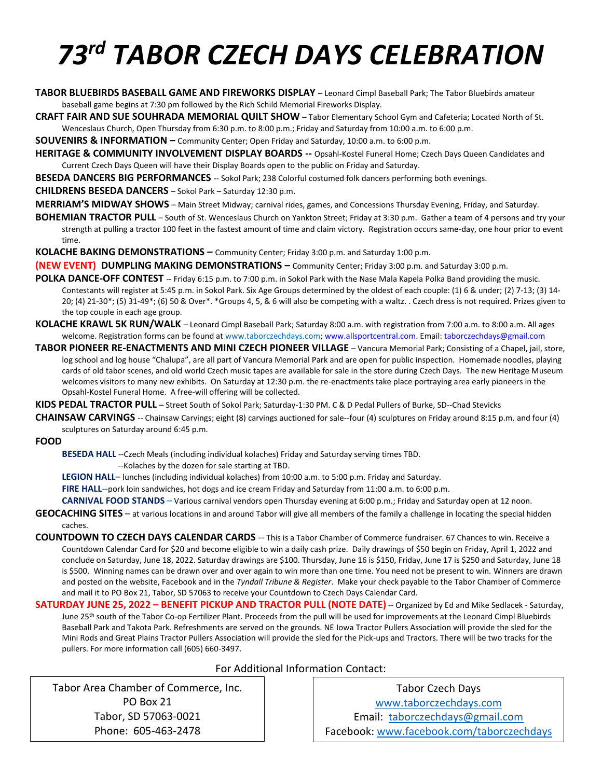# *73 rd TABOR CZECH DAYS CELEBRATION*

- **TABOR BLUEBIRDS BASEBALL GAME AND FIREWORKS DISPLAY** Leonard Cimpl Baseball Park; The Tabor Bluebirds amateur baseball game begins at 7:30 pm followed by the Rich Schild Memorial Fireworks Display.
- **CRAFT FAIR AND SUE SOUHRADA MEMORIAL QUILT SHOW** Tabor Elementary School Gym and Cafeteria; Located North of St. Wenceslaus Church, Open Thursday from 6:30 p.m. to 8:00 p.m.; Friday and Saturday from 10:00 a.m. to 6:00 p.m.

**SOUVENIRS & INFORMATION –** Community Center; Open Friday and Saturday, 10:00 a.m. to 6:00 p.m.

**HERITAGE & COMMUNITY INVOLVEMENT DISPLAY BOARDS --** Opsahl-Kostel Funeral Home; Czech Days Queen Candidates and Current Czech Days Queen will have their Display Boards open to the public on Friday and Saturday.

**BESEDA DANCERS BIG PERFORMANCES** -- Sokol Park; 238 Colorful costumed folk dancers performing both evenings.

**CHILDRENS BESEDA DANCERS** – Sokol Park – Saturday 12:30 p.m.

**MERRIAM'S MIDWAY SHOWS** – Main Street Midway; carnival rides, games, and Concessions Thursday Evening, Friday, and Saturday.

**BOHEMIAN TRACTOR PULL** – South of St. Wenceslaus Church on Yankton Street; Friday at 3:30 p.m. Gather a team of 4 persons and try your strength at pulling a tractor 100 feet in the fastest amount of time and claim victory. Registration occurs same-day, one hour prior to event time.

**KOLACHE BAKING DEMONSTRATIONS –** Community Center; Friday 3:00 p.m. and Saturday 1:00 p.m.

**(NEW EVENT) DUMPLING MAKING DEMONSTRATIONS –** Community Center; Friday 3:00 p.m. and Saturday 3:00 p.m.

- **POLKA DANCE-OFF CONTEST** -- Friday 6:15 p.m. to 7:00 p.m. in Sokol Park with the Nase Mala Kapela Polka Band providing the music. Contestants will register at 5:45 p.m. in Sokol Park. Six Age Groups determined by the oldest of each couple: (1) 6 & under; (2) 7-13; (3) 14- 20; (4) 21-30\*; (5) 31-49\*; (6) 50 & Over\*. \*Groups 4, 5, & 6 will also be competing with a waltz. . Czech dress is not required. Prizes given to the top couple in each age group.
- **KOLACHE KRAWL 5K RUN/WALK** Leonard Cimpl Baseball Park; Saturday 8:00 a.m. with registration from 7:00 a.m. to 8:00 a.m. All ages welcome. Registration forms can be found at www.taborczechdays.com; www.allsportcentral.com. Email: taborczechdays@gmail.com
- **TABOR PIONEER RE-ENACTMENTS AND MINI CZECH PIONEER VILLAGE** Vancura Memorial Park; Consisting of a Chapel, jail, store, log school and log house "Chalupa", are all part of Vancura Memorial Park and are open for public inspection. Homemade noodles, playing cards of old tabor scenes, and old world Czech music tapes are available for sale in the store during Czech Days. The new Heritage Museum welcomes visitors to many new exhibits. On Saturday at 12:30 p.m. the re-enactments take place portraying area early pioneers in the Opsahl-Kostel Funeral Home. A free-will offering will be collected.

**KIDS PEDAL TRACTOR PULL** – Street South of Sokol Park; Saturday-1:30 PM. C & D Pedal Pullers of Burke, SD--Chad Stevicks

**CHAINSAW CARVINGS** -- Chainsaw Carvings; eight (8) carvings auctioned for sale--four (4) sculptures on Friday around 8:15 p.m. and four (4) sculptures on Saturday around 6:45 p.m.

**FOOD**

**BESEDA HALL** --Czech Meals (including individual kolaches) Friday and Saturday serving times TBD.

--Kolaches by the dozen for sale starting at TBD.

**LEGION HALL**– lunches (including individual kolaches) from 10:00 a.m. to 5:00 p.m. Friday and Saturday.

**FIRE HALL**--pork loin sandwiches, hot dogs and ice cream Friday and Saturday from 11:00 a.m. to 6:00 p.m.

**CARNIVAL FOOD STANDS** – Various carnival vendors open Thursday evening at 6:00 p.m.; Friday and Saturday open at 12 noon.

**GEOCACHING SITES** – at various locations in and around Tabor will give all members of the family a challenge in locating the special hidden caches.

**COUNTDOWN TO CZECH DAYS CALENDAR CARDS** -- This is a Tabor Chamber of Commerce fundraiser. 67 Chances to win. Receive a Countdown Calendar Card for \$20 and become eligible to win a daily cash prize. Daily drawings of \$50 begin on Friday, April 1, 2022 and conclude on Saturday, June 18, 2022. Saturday drawings are \$100. Thursday, June 16 is \$150, Friday, June 17 is \$250 and Saturday, June 18 is \$500. Winning names can be drawn over and over again to win more than one time. You need not be present to win. Winners are drawn and posted on the website, Facebook and in the *Tyndall Tribune & Register*. Make your check payable to the Tabor Chamber of Commerce and mail it to PO Box 21, Tabor, SD 57063 to receive your Countdown to Czech Days Calendar Card.

**SATURDAY JUNE 25, 2022 – BENEFIT PICKUP AND TRACTOR PULL (NOTE DATE)** -- Organized by Ed and Mike Sedlacek - Saturday, June 25<sup>th</sup> south of the Tabor Co-op Fertilizer Plant. Proceeds from the pull will be used for improvements at the Leonard Cimpl Bluebirds Baseball Park and Takota Park. Refreshments are served on the grounds. NE Iowa Tractor Pullers Association will provide the sled for the Mini Rods and Great Plains Tractor Pullers Association will provide the sled for the Pick-ups and Tractors. There will be two tracks for the pullers. For more information call (605) 660-3497.

For Additional Information Contact:

Tabor Area Chamber of Commerce, Inc. PO Box 21 Tabor, SD 57063-0021 Phone: 605-463-2478

Tabor Czech Days [www.taborczechdays.com](http://www.taborczechdays.com/) Email: [taborczechdays@gmail.com](mailto:taborczechdays@gmail.com) Facebook: [www.facebook.com/taborczechdays](http://www.facebook.com/taborczechdays)